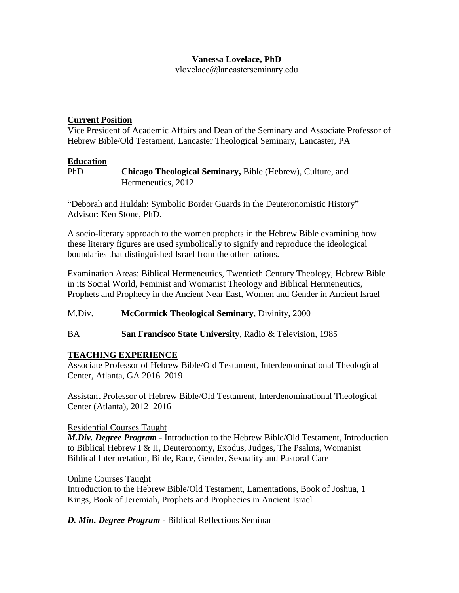# **Vanessa Lovelace, PhD**

vlovelace@lancasterseminary.edu

# **Current Position**

Vice President of Academic Affairs and Dean of the Seminary and Associate Professor of Hebrew Bible/Old Testament, Lancaster Theological Seminary, Lancaster, PA

## **Education**

PhD **Chicago Theological Seminary,** Bible (Hebrew), Culture, and Hermeneutics, 2012

"Deborah and Huldah: Symbolic Border Guards in the Deuteronomistic History" Advisor: Ken Stone, PhD.

A socio-literary approach to the women prophets in the Hebrew Bible examining how these literary figures are used symbolically to signify and reproduce the ideological boundaries that distinguished Israel from the other nations.

Examination Areas: Biblical Hermeneutics, Twentieth Century Theology, Hebrew Bible in its Social World, Feminist and Womanist Theology and Biblical Hermeneutics, Prophets and Prophecy in the Ancient Near East, Women and Gender in Ancient Israel

M.Div. **McCormick Theological Seminary**, Divinity, 2000

BA **San Francisco State University**, Radio & Television, 1985

# **TEACHING EXPERIENCE**

Associate Professor of Hebrew Bible/Old Testament, Interdenominational Theological Center, Atlanta, GA 2016–2019

Assistant Professor of Hebrew Bible/Old Testament, Interdenominational Theological Center (Atlanta), 2012–2016

## Residential Courses Taught

*M.Div. Degree Program* - Introduction to the Hebrew Bible/Old Testament, Introduction to Biblical Hebrew I & II, Deuteronomy, Exodus, Judges, The Psalms, Womanist Biblical Interpretation, Bible, Race, Gender, Sexuality and Pastoral Care

## Online Courses Taught

Introduction to the Hebrew Bible/Old Testament, Lamentations, Book of Joshua, 1 Kings, Book of Jeremiah, Prophets and Prophecies in Ancient Israel

*D. Min. Degree Program* - Biblical Reflections Seminar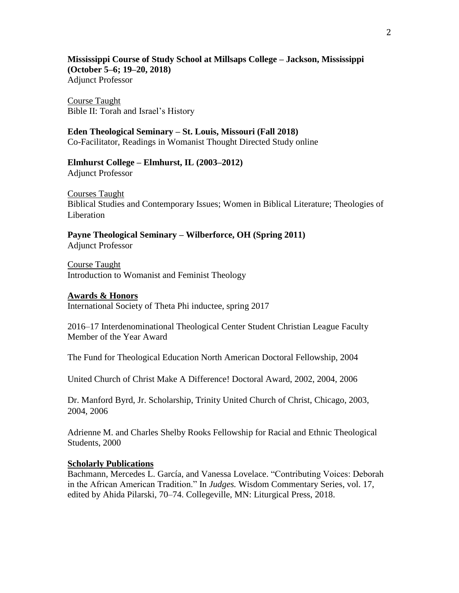**Mississippi Course of Study School at Millsaps College – Jackson, Mississippi (October 5–6; 19–20, 2018)** Adjunct Professor

Course Taught Bible II: Torah and Israel's History

#### **Eden Theological Seminary – St. Louis, Missouri (Fall 2018)**

Co-Facilitator, Readings in Womanist Thought Directed Study online

#### **Elmhurst College – Elmhurst, IL (2003–2012)** Adjunct Professor

Courses Taught Biblical Studies and Contemporary Issues; Women in Biblical Literature; Theologies of Liberation

**Payne Theological Seminary – Wilberforce, OH (Spring 2011)** Adjunct Professor

Course Taught Introduction to Womanist and Feminist Theology

#### **Awards & Honors**

International Society of Theta Phi inductee, spring 2017

2016–17 Interdenominational Theological Center Student Christian League Faculty Member of the Year Award

The Fund for Theological Education North American Doctoral Fellowship, 2004

United Church of Christ Make A Difference! Doctoral Award, 2002, 2004, 2006

Dr. Manford Byrd, Jr. Scholarship, Trinity United Church of Christ, Chicago, 2003, 2004, 2006

Adrienne M. and Charles Shelby Rooks Fellowship for Racial and Ethnic Theological Students, 2000

#### **Scholarly Publications**

Bachmann, Mercedes L. García, and Vanessa Lovelace. "Contributing Voices: Deborah in the African American Tradition." In *Judges.* Wisdom Commentary Series, vol. 17, edited by Ahida Pilarski, 70–74. Collegeville, MN: Liturgical Press, 2018.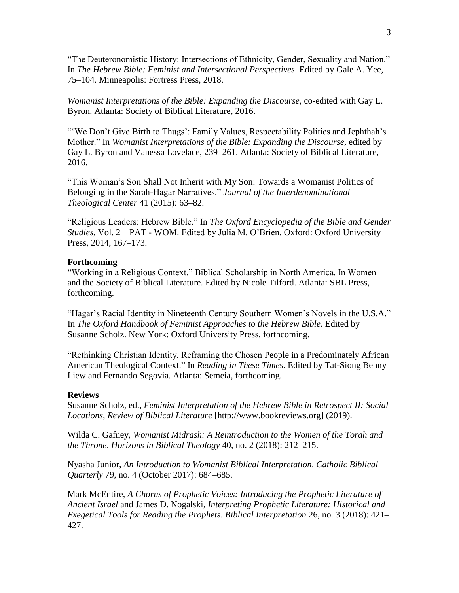"The Deuteronomistic History: Intersections of Ethnicity, Gender, Sexuality and Nation." In *The Hebrew Bible: Feminist and Intersectional Perspectives*. Edited by Gale A. Yee, 75–104. Minneapolis: Fortress Press, 2018.

*Womanist Interpretations of the Bible: Expanding the Discourse*, co-edited with Gay L. Byron. Atlanta: Society of Biblical Literature, 2016.

"'We Don't Give Birth to Thugs': Family Values, Respectability Politics and Jephthah's Mother." In *Womanist Interpretations of the Bible: Expanding the Discourse*, edited by Gay L. Byron and Vanessa Lovelace, 239–261. Atlanta: Society of Biblical Literature, 2016.

"This Woman's Son Shall Not Inherit with My Son: Towards a Womanist Politics of Belonging in the Sarah-Hagar Narratives." *Journal of the Interdenominational Theological Center* 41 (2015): 63–82.

"Religious Leaders: Hebrew Bible." In *The Oxford Encyclopedia of the Bible and Gender Studies*, Vol. 2 – PAT - WOM. Edited by Julia M. O'Brien. Oxford: Oxford University Press, 2014, 167–173.

#### **Forthcoming**

"Working in a Religious Context." Biblical Scholarship in North America. In Women and the Society of Biblical Literature. Edited by Nicole Tilford. Atlanta: SBL Press, forthcoming.

"Hagar's Racial Identity in Nineteenth Century Southern Women's Novels in the U.S.A." In *The Oxford Handbook of Feminist Approaches to the Hebrew Bible*. Edited by Susanne Scholz. New York: Oxford University Press, forthcoming.

"Rethinking Christian Identity, Reframing the Chosen People in a Predominately African American Theological Context." In *Reading in These Times*. Edited by Tat-Siong Benny Liew and Fernando Segovia. Atlanta: Semeia, forthcoming.

#### **Reviews**

Susanne Scholz, ed., *Feminist Interpretation of the Hebrew Bible in Retrospect II: Social Locations, Review of Biblical Literature* [http://www.bookreviews.org] (2019).

Wilda C. Gafney, *Womanist Midrash: A Reintroduction to the Women of the Torah and the Throne*. *Horizons in Biblical Theology* 40, no. 2 (2018): 212–215.

Nyasha Junior, *An Introduction to Womanist Biblical Interpretation*. *Catholic Biblical Quarterly* 79, no. 4 (October 2017): 684–685.

Mark McEntire, *A Chorus of Prophetic Voices: Introducing the Prophetic Literature of Ancient Israel* and James D. Nogalski, *Interpreting Prophetic Literature: Historical and Exegetical Tools for Reading the Prophets*. *Biblical Interpretation* 26, no. 3 (2018): 421– 427.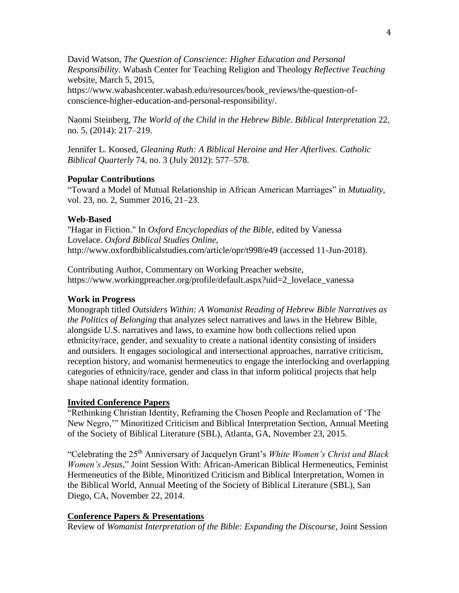David Watson, *The Question of Conscience: Higher Education and Personal Responsibility.* Wabash Center for Teaching Religion and Theology *Reflective Teaching* website, March 5, 2015,

https://www.wabashcenter.wabash.edu/resources/book\_reviews/the-question-ofconscience-higher-education-and-personal-responsibility/.

Naomi Steinberg, *The World of the Child in the Hebrew Bible*. *Biblical Interpretation* 22, no. 5, (2014): 217–219.

Jennifer L. Koosed, *Gleaning Ruth: A Biblical Heroine and Her Afterlives*. *Catholic Biblical Quarterly* 74, no. 3 (July 2012): 577–578.

## **Popular Contributions**

"Toward a Model of Mutual Relationship in African American Marriages" in *Mutuality*, vol. 23, no. 2, Summer 2016, 21–23.

## **Web-Based**

"Hagar in Fiction." In *Oxford Encyclopedias of the Bible*, edited by Vanessa Lovelace. *Oxford Biblical Studies Online*, http://www.oxfordbiblicalstudies.com/article/opr/t998/e49 (accessed 11-Jun-2018).

Contributing Author, Commentary on Working Preacher website, https://www.workingpreacher.org/profile/default.aspx?uid=2\_lovelace\_vanessa

## **Work in Progress**

Monograph titled *Outsiders Within: A Womanist Reading of Hebrew Bible Narratives as the Politics of Belonging* that analyzes select narratives and laws in the Hebrew Bible, alongside U.S. narratives and laws, to examine how both collections relied upon ethnicity/race, gender, and sexuality to create a national identity consisting of insiders and outsiders. It engages sociological and intersectional approaches, narrative criticism, reception history, and womanist hermeneutics to engage the interlocking and overlapping categories of ethnicity/race, gender and class in that inform political projects that help shape national identity formation.

# **Invited Conference Papers**

"Rethinking Christian Identity, Reframing the Chosen People and Reclamation of 'The New Negro,'" Minoritized Criticism and Biblical Interpretation Section, Annual Meeting of the Society of Biblical Literature (SBL), Atlanta, GA, November 23, 2015.

"Celebrating the 25th Anniversary of Jacquelyn Grant's *White Women's Christ and Black Women's Jesus*," Joint Session With: African-American Biblical Hermeneutics, Feminist Hermeneutics of the Bible, Minoritized Criticism and Biblical Interpretation, Women in the Biblical World, Annual Meeting of the Society of Biblical Literature (SBL), San Diego, CA, November 22, 2014.

# **Conference Papers & Presentations**

Review of *Womanist Interpretation of the Bible: Expanding the Discourse*, Joint Session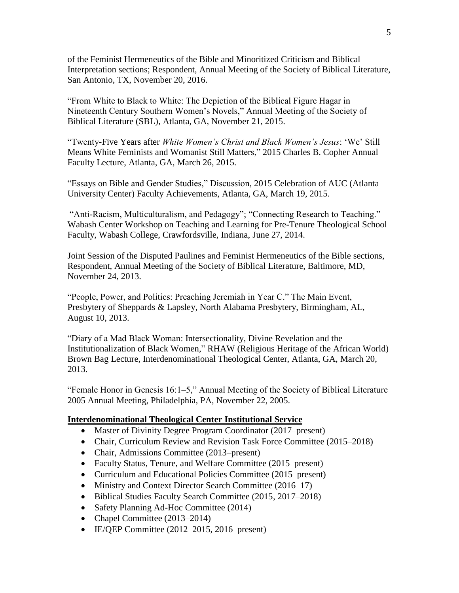of the Feminist Hermeneutics of the Bible and Minoritized Criticism and Biblical Interpretation sections; Respondent, Annual Meeting of the Society of Biblical Literature, San Antonio, TX, November 20, 2016.

"From White to Black to White: The Depiction of the Biblical Figure Hagar in Nineteenth Century Southern Women's Novels," Annual Meeting of the Society of Biblical Literature (SBL), Atlanta, GA, November 21, 2015.

"Twenty-Five Years after *White Women's Christ and Black Women's Jesus*: 'We' Still Means White Feminists and Womanist Still Matters," 2015 Charles B. Copher Annual Faculty Lecture, Atlanta, GA, March 26, 2015.

"Essays on Bible and Gender Studies," Discussion, 2015 Celebration of AUC (Atlanta University Center) Faculty Achievements, Atlanta, GA, March 19, 2015.

"Anti-Racism, Multiculturalism, and Pedagogy"; "Connecting Research to Teaching." Wabash Center Workshop on Teaching and Learning for Pre-Tenure Theological School Faculty, Wabash College, Crawfordsville, Indiana, June 27, 2014.

Joint Session of the Disputed Paulines and Feminist Hermeneutics of the Bible sections, Respondent, Annual Meeting of the Society of Biblical Literature, Baltimore, MD, November 24, 2013.

"People, Power, and Politics: Preaching Jeremiah in Year C." The Main Event, Presbytery of Sheppards & Lapsley, North Alabama Presbytery, Birmingham, AL, August 10, 2013.

"Diary of a Mad Black Woman: Intersectionality, Divine Revelation and the Institutionalization of Black Women," RHAW (Religious Heritage of the African World) Brown Bag Lecture, Interdenominational Theological Center, Atlanta, GA, March 20, 2013.

"Female Honor in Genesis 16:1–5," Annual Meeting of the Society of Biblical Literature 2005 Annual Meeting, Philadelphia, PA, November 22, 2005.

## **Interdenominational Theological Center Institutional Service**

- Master of Divinity Degree Program Coordinator (2017–present)
- Chair, Curriculum Review and Revision Task Force Committee (2015–2018)
- Chair, Admissions Committee (2013–present)
- Faculty Status, Tenure, and Welfare Committee (2015–present)
- Curriculum and Educational Policies Committee (2015–present)
- Ministry and Context Director Search Committee (2016–17)
- Biblical Studies Faculty Search Committee (2015, 2017–2018)
- Safety Planning Ad-Hoc Committee (2014)
- Chapel Committee (2013–2014)
- IE/QEP Committee (2012–2015, 2016–present)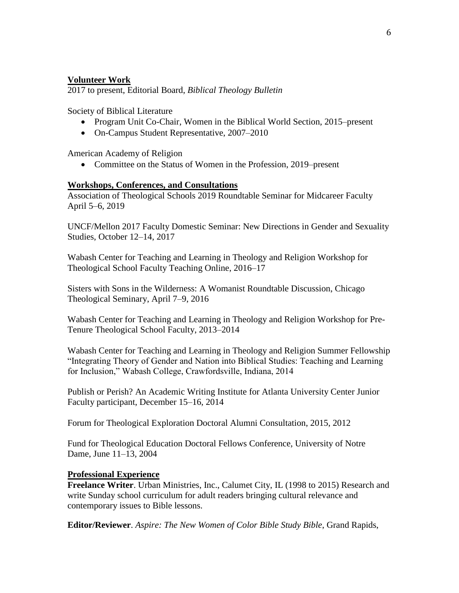## **Volunteer Work**

2017 to present, Editorial Board, *Biblical Theology Bulletin*

Society of Biblical Literature

- Program Unit Co-Chair, Women in the Biblical World Section, 2015–present
- On-Campus Student Representative, 2007–2010

American Academy of Religion

• Committee on the Status of Women in the Profession, 2019–present

#### **Workshops, Conferences, and Consultations**

Association of Theological Schools 2019 Roundtable Seminar for Midcareer Faculty April 5–6, 2019

UNCF/Mellon 2017 Faculty Domestic Seminar: New Directions in Gender and Sexuality Studies, October 12–14, 2017

Wabash Center for Teaching and Learning in Theology and Religion Workshop for Theological School Faculty Teaching Online, 2016–17

Sisters with Sons in the Wilderness: A Womanist Roundtable Discussion, Chicago Theological Seminary, April 7–9, 2016

Wabash Center for Teaching and Learning in Theology and Religion Workshop for Pre-Tenure Theological School Faculty, 2013–2014

Wabash Center for Teaching and Learning in Theology and Religion Summer Fellowship "Integrating Theory of Gender and Nation into Biblical Studies: Teaching and Learning for Inclusion," Wabash College, Crawfordsville, Indiana, 2014

Publish or Perish? An Academic Writing Institute for Atlanta University Center Junior Faculty participant, December 15–16, 2014

Forum for Theological Exploration Doctoral Alumni Consultation, 2015, 2012

Fund for Theological Education Doctoral Fellows Conference, University of Notre Dame, June 11–13, 2004

#### **Professional Experience**

**Freelance Writer**. Urban Ministries, Inc., Calumet City, IL (1998 to 2015) Research and write Sunday school curriculum for adult readers bringing cultural relevance and contemporary issues to Bible lessons.

**Editor/Reviewer**. *Aspire: The New Women of Color Bible Study Bible*, Grand Rapids,